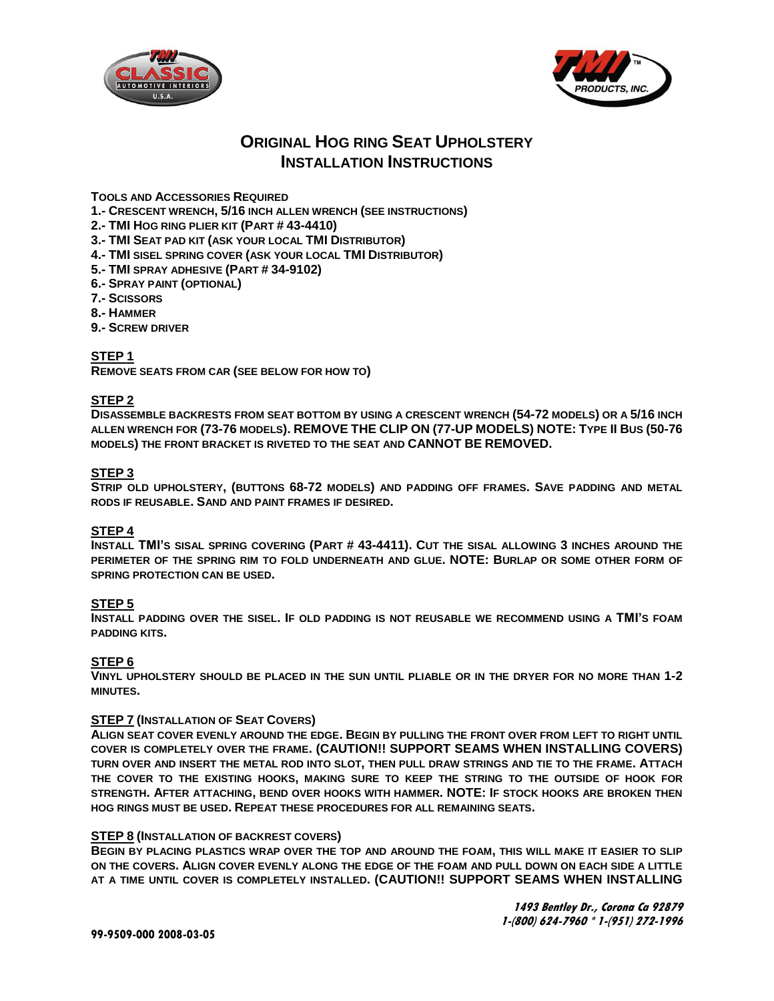



# **ORIGINAL HOG RING SEAT UPHOLSTERY INSTALLATION INSTRUCTIONS**

## **TOOLS AND ACCESSORIES REQUIRED**

- **1.- CRESCENT WRENCH, 5/16 INCH ALLEN WRENCH (SEE INSTRUCTIONS)**
- **2.- TMI HOG RING PLIER KIT (PART # 43-4410)**
- **3.- TMI SEAT PAD KIT (ASK YOUR LOCAL TMI DISTRIBUTOR)**
- **4.- TMI SISEL SPRING COVER (ASK YOUR LOCAL TMI DISTRIBUTOR)**
- **5.- TMI SPRAY ADHESIVE (PART # 34-9102)**
- **6.- SPRAY PAINT (OPTIONAL)**
- **7.- SCISSORS**
- **8.- HAMMER**
- **9.- SCREW DRIVER**

## **STEP 1**

**REMOVE SEATS FROM CAR (SEE BELOW FOR HOW TO)**

## **STEP 2**

**DISASSEMBLE BACKRESTS FROM SEAT BOTTOM BY USING A CRESCENT WRENCH (54-72 MODELS) OR A 5/16 INCH ALLEN WRENCH FOR (73-76 MODELS). REMOVE THE CLIP ON (77-UP MODELS) NOTE: TYPE II BUS (50-76 MODELS) THE FRONT BRACKET IS RIVETED TO THE SEAT AND CANNOT BE REMOVED.**

## **STEP 3**

**STRIP OLD UPHOLSTERY, (BUTTONS 68-72 MODELS) AND PADDING OFF FRAMES. SAVE PADDING AND METAL RODS IF REUSABLE. SAND AND PAINT FRAMES IF DESIRED.**

#### **STEP 4**

**INSTALL TMI'S SISAL SPRING COVERING (PART # 43-4411). CUT THE SISAL ALLOWING 3 INCHES AROUND THE PERIMETER OF THE SPRING RIM TO FOLD UNDERNEATH AND GLUE. NOTE: BURLAP OR SOME OTHER FORM OF SPRING PROTECTION CAN BE USED.**

#### **STEP 5**

**INSTALL PADDING OVER THE SISEL. IF OLD PADDING IS NOT REUSABLE WE RECOMMEND USING A TMI'S FOAM PADDING KITS.**

#### **STEP 6**

**VINYL UPHOLSTERY SHOULD BE PLACED IN THE SUN UNTIL PLIABLE OR IN THE DRYER FOR NO MORE THAN 1-2 MINUTES.**

#### **STEP 7 (INSTALLATION OF SEAT COVERS)**

**ALIGN SEAT COVER EVENLY AROUND THE EDGE. BEGIN BY PULLING THE FRONT OVER FROM LEFT TO RIGHT UNTIL COVER IS COMPLETELY OVER THE FRAME. (CAUTION!! SUPPORT SEAMS WHEN INSTALLING COVERS) TURN OVER AND INSERT THE METAL ROD INTO SLOT, THEN PULL DRAW STRINGS AND TIE TO THE FRAME. ATTACH THE COVER TO THE EXISTING HOOKS, MAKING SURE TO KEEP THE STRING TO THE OUTSIDE OF HOOK FOR STRENGTH. AFTER ATTACHING, BEND OVER HOOKS WITH HAMMER. NOTE: IF STOCK HOOKS ARE BROKEN THEN HOG RINGS MUST BE USED. REPEAT THESE PROCEDURES FOR ALL REMAINING SEATS.**

#### **STEP 8 (INSTALLATION OF BACKREST COVERS)**

**BEGIN BY PLACING PLASTICS WRAP OVER THE TOP AND AROUND THE FOAM, THIS WILL MAKE IT EASIER TO SLIP ON THE COVERS. ALIGN COVER EVENLY ALONG THE EDGE OF THE FOAM AND PULL DOWN ON EACH SIDE A LITTLE AT A TIME UNTIL COVER IS COMPLETELY INSTALLED. (CAUTION!! SUPPORT SEAMS WHEN INSTALLING**